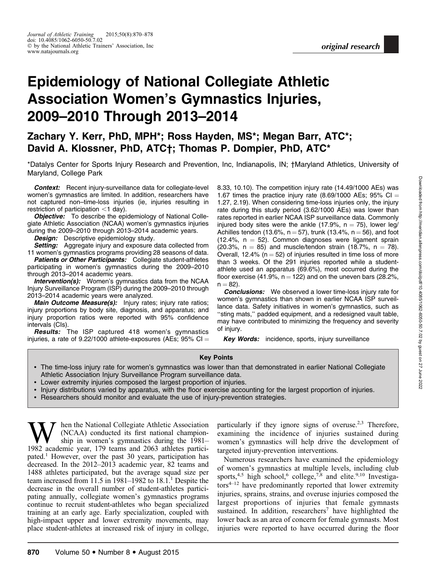# Epidemiology of National Collegiate Athletic Association Women's Gymnastics Injuries, 2009–2010 Through 2013–2014

Zachary Y. Kerr, PhD, MPH\*; Ross Hayden, MS\*; Megan Barr, ATC\*; David A. Klossner, PhD, ATC†; Thomas P. Dompier, PhD, ATC\*

\*Datalys Center for Sports Injury Research and Prevention, Inc, Indianapolis, IN; †Maryland Athletics, University of Maryland, College Park

Context: Recent injury-surveillance data for collegiate-level women's gymnastics are limited. In addition, researchers have not captured non–time-loss injuries (ie, injuries resulting in restriction of participation  $<$ 1 day).

**Objective:** To describe the epidemiology of National Collegiate Athletic Association (NCAA) women's gymnastics injuries during the 2009–2010 through 2013–2014 academic years.

**Design:** Descriptive epidemiology study.

Setting: Aggregate injury and exposure data collected from 11 women's gymnastics programs providing 28 seasons of data.

Patients or Other Participants: Collegiate student-athletes participating in women's gymnastics during the 2009–2010 through 2013–2014 academic years.

**Intervention(s):** Women's gymnastics data from the NCAA Injury Surveillance Program (ISP) during the 2009–2010 through 2013–2014 academic years were analyzed.

Main Outcome Measure(s): Injury rates; injury rate ratios; injury proportions by body site, diagnosis, and apparatus; and injury proportion ratios were reported with 95% confidence intervals (CIs).

**Results:** The ISP captured 418 women's gymnastics injuries, a rate of 9.22/1000 athlete-exposures (AEs; 95% CI  $=$  8.33, 10.10). The competition injury rate (14.49/1000 AEs) was 1.67 times the practice injury rate (8.69/1000 AEs; 95% CI = 1.27, 2.19). When considering time-loss injuries only, the injury rate during this study period (3.62/1000 AEs) was lower than rates reported in earlier NCAA ISP surveillance data. Commonly injured body sites were the ankle (17.9%,  $n = 75$ ), lower leg/ Achilles tendon (13.6%,  $n = 57$ ), trunk (13.4%,  $n = 56$ ), and foot  $(12.4\% \, \text{n} = 52)$ . Common diagnoses were ligament sprain (20.3%,  $n = 85$ ) and muscle/tendon strain (18.7%,  $n = 78$ ). Overall, 12.4% ( $n = 52$ ) of injuries resulted in time loss of more than 3 weeks. Of the 291 injuries reported while a studentathlete used an apparatus (69.6%), most occurred during the floor exercise (41.9%,  $n = 122$ ) and on the uneven bars (28.2%,  $n = 82$ ).

**Conclusions:** We observed a lower time-loss injury rate for women's gymnastics than shown in earlier NCAA ISP surveillance data. Safety initiatives in women's gymnastics, such as ''sting mats,'' padded equipment, and a redesigned vault table, may have contributed to minimizing the frequency and severity of injury.

Key Words: incidence, sports, injury surveillance

#### Key Points

- The time-loss injury rate for women's gymnastics was lower than that demonstrated in earlier National Collegiate Athletic Association Injury Surveillance Program surveillance data.
- Lower extremity injuries composed the largest proportion of injuries.
- Injury distributions varied by apparatus, with the floor exercise accounting for the largest proportion of injuries.
- Researchers should monitor and evaluate the use of injury-prevention strategies.

hen the National Collegiate Athletic Association (NCAA) conducted its first national championship in women's gymnastics during the 1981– 1982 academic year, 179 teams and 2063 athletes participated.<sup>1</sup> However, over the past 30 years, participation has decreased. In the 2012–2013 academic year, 82 teams and 1488 athletes participated, but the average squad size per team increased from 11.5 in 1981–1982 to  $18.1<sup>1</sup>$  Despite the decrease in the overall number of student-athletes participating annually, collegiate women's gymnastics programs continue to recruit student-athletes who began specialized training at an early age. Early specialization, coupled with high-impact upper and lower extremity movements, may place student-athletes at increased risk of injury in college,

particularly if they ignore signs of overuse.<sup>2,3</sup> Therefore, examining the incidence of injuries sustained during women's gymnastics will help drive the development of targeted injury-prevention interventions.

Numerous researchers have examined the epidemiology of women's gymnastics at multiple levels, including club sports,<sup>4,5</sup> high school,<sup>6</sup> college,<sup>7,8</sup> and elite.<sup>9,10</sup> Investigators<sup>4-12</sup> have predominantly reported that lower extremity injuries, sprains, strains, and overuse injuries composed the largest proportions of injuries that female gymnasts sustained. In addition, researchers<sup>7</sup> have highlighted the lower back as an area of concern for female gymnasts. Most injuries were reported to have occurred during the floor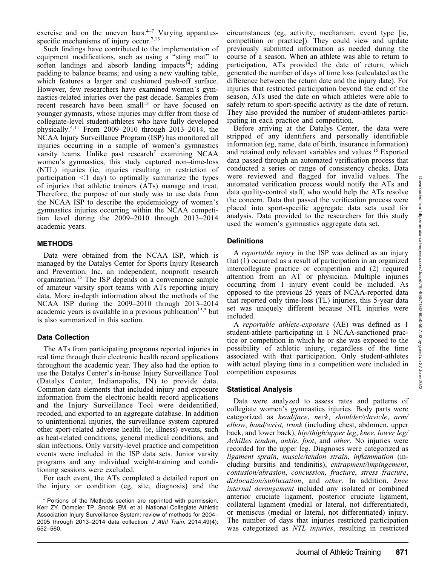exercise and on the uneven bars. $4-7$  Varying apparatusspecific mechanisms of injury occur.<sup>7,13</sup>

Such findings have contributed to the implementation of equipment modifications, such as using a ''sting mat'' to soften landings and absorb landing impacts<sup>14</sup>; adding padding to balance beams; and using a new vaulting table, which features a larger and cushioned push-off surface. However, few researchers have examined women's gymnastics-related injuries over the past decade. Samples from recent research have been small<sup>13</sup> or have focused on younger gymnasts, whose injuries may differ from those of collegiate-level student-athletes who have fully developed physically.4,11 From 2009–2010 through 2013–2014, the NCAA Injury Surveillance Program (ISP) has monitored all injuries occurring in a sample of women's gymnastics varsity teams. Unlike past research<sup>7</sup> examining NCAA women's gymnastics, this study captured non–time-loss (NTL) injuries (ie, injuries resulting in restriction of participation  $\leq 1$  day) to optimally summarize the types of injuries that athletic trainers (ATs) manage and treat. Therefore, the purpose of our study was to use data from the NCAA ISP to describe the epidemiology of women's gymnastics injuries occurring within the NCAA competition level during the 2009–2010 through 2013–2014 academic years.

#### **METHODS**

Data were obtained from the NCAA ISP, which is managed by the Datalys Center for Sports Injury Research and Prevention, Inc, an independent, nonprofit research organization.<sup>15</sup> The ISP depends on a convenience sample of amateur varsity sport teams with ATs reporting injury data. More in-depth information about the methods of the NCAA ISP during the 2009–2010 through 2013–2014 academic years is available in a previous publication<sup>15,\*</sup> but is also summarized in this section.

#### Data Collection

The ATs from participating programs reported injuries in real time through their electronic health record applications throughout the academic year. They also had the option to use the Datalys Center's in-house Injury Surveillance Tool (Datalys Center, Indianapolis, IN) to provide data. Common data elements that included injury and exposure information from the electronic health record applications and the Injury Surveillance Tool were deidentified, recoded, and exported to an aggregate database. In addition to unintentional injuries, the surveillance system captured other sport-related adverse health (ie, illness) events, such as heat-related conditions, general medical conditions, and skin infections. Only varsity-level practice and competition events were included in the ISP data sets. Junior varsity programs and any individual weight-training and conditioning sessions were excluded.

For each event, the ATs completed a detailed report on the injury or condition (eg, site, diagnosis) and the circumstances (eg, activity, mechanism, event type [ie, competition or practice]). They could view and update previously submitted information as needed during the course of a season. When an athlete was able to return to participation, ATs provided the date of return, which generated the number of days of time loss (calculated as the difference between the return date and the injury date). For injuries that restricted participation beyond the end of the season, ATs used the date on which athletes were able to safely return to sport-specific activity as the date of return. They also provided the number of student-athletes participating in each practice and competition.

Before arriving at the Datalys Center, the data were stripped of any identifiers and personally identifiable information (eg, name, date of birth, insurance information) and retained only relevant variables and values.15 Exported data passed through an automated verification process that conducted a series or range of consistency checks. Data were reviewed and flagged for invalid values. The automated verification process would notify the ATs and data quality-control staff, who would help the ATs resolve the concern. Data that passed the verification process were placed into sport-specific aggregate data sets used for analysis. Data provided to the researchers for this study used the women's gymnastics aggregate data set.

### **Definitions**

A reportable injury in the ISP was defined as an injury that (1) occurred as a result of participation in an organized intercollegiate practice or competition and (2) required attention from an AT or physician. Multiple injuries occurring from 1 injury event could be included. As opposed to the previous 25 years of NCAA-reported data that reported only time-loss (TL) injuries, this 5-year data set was uniquely different because NTL injuries were included.

A reportable athlete-exposure (AE) was defined as 1 student-athlete participating in 1 NCAA-sanctioned practice or competition in which he or she was exposed to the possibility of athletic injury, regardless of the time associated with that participation. Only student-athletes with actual playing time in a competition were included in competition exposures.

# Statistical Analysis

Data were analyzed to assess rates and patterns of collegiate women's gymnastics injuries. Body parts were categorized as head/face, neck, shoulder/clavicle, arm/ elbow, hand/wrist, trunk (including chest, abdomen, upper back, and lower back), hip/thigh/upper leg, knee, lower leg/ Achilles tendon, ankle, foot, and other. No injuries were recorded for the upper leg. Diagnoses were categorized as ligament sprain, muscle/tendon strain, inflammation (including bursitis and tendinitis), entrapment/impingement, contusion/abrasion, concussion, fracture, stress fracture, dislocation/subluxation, and other. In addition, knee internal derangement included any isolated or combined anterior cruciate ligament, posterior cruciate ligament, collateral ligament (medial or lateral, not differentiated), or meniscus (medial or lateral, not differentiated) injury. The number of days that injuries restricted participation was categorized as NTL injuries, resulting in restricted

 $\overline{\phantom{a}}$  \* Portions of the Methods section are reprinted with permission. Kerr ZY, Dompier TP, Snook EM, et al. National Collegiate Athletic Association Injury Surveillance System: review of methods for 2004– 2005 through 2013–2014 data collection. J Athl Train. 2014;49(4): 552–560.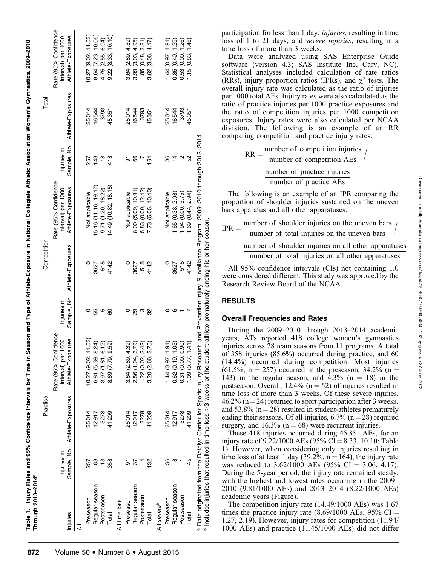|                         |               | Practice                      |                                                                        |                            | Competition       |                                                                 |                            | Total             |                                                                 |
|-------------------------|---------------|-------------------------------|------------------------------------------------------------------------|----------------------------|-------------------|-----------------------------------------------------------------|----------------------------|-------------------|-----------------------------------------------------------------|
| Injuries                | Injuries in   | Sample, No. Athlete-Exposures | Rate (95% Confidence<br>sures<br>1000<br>Interval) per<br>Athlete-Expo | Sample, No.<br>Injuries in | Athlete-Exposures | Rate (95% Confidence<br>Athlete-Exposures<br>Interval) per 1000 | Sample, No.<br>Injuries in | Athlete-Exposures | Rate (95% Confidence<br>Athlete-Exposures<br>Interval) per 1000 |
| ₹                       |               |                               |                                                                        |                            |                   |                                                                 |                            |                   |                                                                 |
| Preseason               | 257           | 25014                         | 11.53<br>10.27 (9.02,                                                  | 0                          | $\circ$           | Not applicable                                                  | 257                        | 25014             | 10.27(9.02, 11.53)                                              |
| Regular season          | 88            | 12917                         | 8.24<br>6.81 (5.39,                                                    | 55                         | 3627              | 5.16 (11.16, 19.17)                                             | 143                        | 16544             | 8.64 (7.23, 10.06)                                              |
| Postseason              | ဗ္            | 3278                          | 612<br>3.97(1.81,                                                      | ю                          | 515               | 9.71(1.20, 18.22)                                               | $\frac{8}{1}$              | 3793              | 4.75 (2.55, 6.94)                                               |
| Total                   | 358           | 41209                         | 9.59<br>8.69 (7.79,                                                    | 8                          | 4142              | 4.49 (10.82, 18.15)                                             | 418                        | 45351             | 10.10<br>9.22(8.33)                                             |
| All time loss           |               |                               |                                                                        |                            |                   |                                                                 |                            |                   |                                                                 |
| Preseason               | 5             | 25014                         | 4.39<br>3.64(2.89,                                                     | 0                          | $\circ$           | Not applicable                                                  | 5                          | 25014             | 3.64(2.89, 4.39)                                                |
| Regular season          | 55            | 12917                         | 3.79<br>2.86 (1.94,                                                    | 89                         | 3627              | 8.00 (5.09, 10.91)                                              | 8                          | 16544             | 3.99(3.03, 4.95)                                                |
| Postseason              |               | 3278                          | 2.42)<br>1.22 (0.02,                                                   | ო                          | 515               | 5.83 (0.00, 12.42)                                              |                            | 3793              | 1.85(0.48, 3.21)                                                |
| Total                   | $\frac{8}{2}$ | 41209                         | 3.75)<br>3.20 (2.66,                                                   | 8                          | 4142              | 7.73 (5.05, 10.40)                                              | 164                        | 45351             | 4.17)<br>(3.06,<br>3.62                                         |
| All severe <sup>b</sup> |               |                               |                                                                        |                            |                   |                                                                 |                            |                   |                                                                 |
| Preseason               | 8             | 25014                         | 1.44(0.97, 1.91)                                                       |                            | $\circ$           | Not applicable                                                  | 8                          | 25014             | 1.44(0.97, 1.91)                                                |
| Regular season          |               | 12917                         | 1.05<br>0.62(0.19,                                                     | G                          | 3627              | .65(0.33, 2.98)                                                 | $\overline{4}$             | 16544             | <u>බ</u><br>0.85(0.40,                                          |
| Postseason              |               | 3278                          | 0.90)<br>0.31 (0.00,                                                   |                            | 515               | .94(0.00, 5.75)                                                 | $\mathbf{\Omega}$          | 3793              | 26)<br>!<br>0.53(0.00,                                          |
| Total                   | 45            | 41209                         | $\frac{1}{4}$<br>1.09(0.77,                                            |                            | 4142              | .69(0.44, 2.94)                                                 | S <sub>2</sub>             | 45351             | (97 I<br>1.15(0.83,                                             |

participation for less than 1 day; *injuries*, resulting in time loss of 1 to 21 days; and severe injuries, resulting in a time loss of more than 3 weeks.

Data were analyzed using SAS Enterprise Guide software (version 4.3; SAS Institute Inc, Cary, NC). Statistical analyses included calculation of rate ratios (RRs), injury proportion ratios (IPRs), and  $\chi^2$  tests. The overall injury rate was calculated as the ratio of injuries per 1000 total AEs. Injury rates were also calculated as the ratio of practice injuries per 1000 practice exposures and the ratio of competition injuries per 1000 competition exposures. Injury rates were also calculated per NCAA division. The following is an example of an RR comparing competition and practice injury rates:

$$
RR = \frac{number\ of\ competition\ injuries}{number\ of\ competition\ AES}
$$
  

$$
\frac{number\ of\ practice\ injuries}{number\ of\ practice\ AES}
$$

The following is an example of an IPR comparing the proportion of shoulder injuries sustained on the uneven bars apparatus and all other apparatuses:

$$
IPR = \frac{number of shoulder injuries on the uneven bars}{number of total injuries on the uneven bars}
$$
  
number of shoulder injuries on all other apparatus

number of total injuries on all other apparatuses

All 95% confidence intervals (CIs) not containing 1.0 were considered different. This study was approved by the Research Review Board of the NCAA.

# RESULTS

# Overall Frequencies and Rates

During the 2009–2010 through 2013–2014 academic years, ATs reported 418 college women's gymnastics injuries across 28 team seasons from 11 programs. A total of 358 injuries (85.6%) occurred during practice, and 60 (14.4%) occurred during competition. Most injuries  $(61.5\%, n = 257)$  occurred in the preseason, 34.2% (n = 143) in the regular season, and  $4.3\%$  (n = 18) in the postseason. Overall, 12.4% ( $n = 52$ ) of injuries resulted in time loss of more than 3 weeks. Of these severe injuries, 46.2% ( $n = 24$ ) returned to sport participation after 3 weeks, and 53.8% ( $n = 28$ ) resulted in student-athletes prematurely ending their seasons. Of all injuries,  $6.7\%$  (n = 28) required surgery, and  $16.3\%$  (n = 68) were recurrent injuries.

These 418 injuries occurred during 45 351 AEs, for an injury rate of  $9.22/1000$  AEs (95% CI = 8.33, 10.10; Table 1). However, when considering only injuries resulting in time loss of at least 1 day (39.2%,  $n = 164$ ), the injury rate was reduced to  $3.62/1000$  AEs (95% CI = 3.06, 4.17). During the 5-year period, the injury rate remained steady, with the highest and lowest rates occurring in the 2009– 2010 (9.81/1000 AEs) and 2013–2014 (8.22/1000 AEs) academic years (Figure).

The competition injury rate (14.49/1000 AEs) was 1.67 times the practice injury rate  $(8.69/1000 \text{ AES}; 95\% \text{ CI} =$ 1.27, 2.19). However, injury rates for competition (11.94/ 1000 AEs) and practice (11.45/1000 AEs) did not differ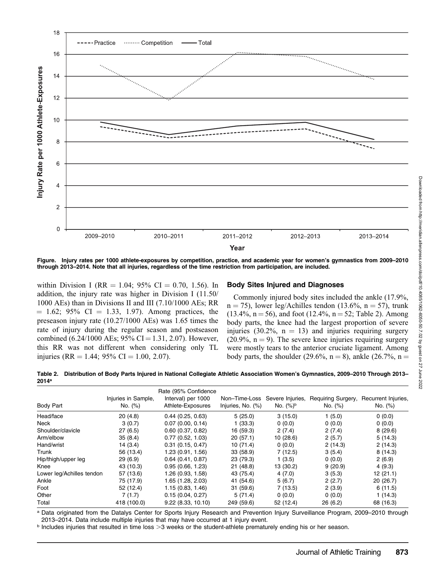

Figure. Injury rates per 1000 athlete-exposures by competition, practice, and academic year for women's gymnastics from 2009–2010 through 2013–2014. Note that all injuries, regardless of the time restriction from participation, are included.

within Division I (RR = 1.04; 95% CI = 0.70, 1.56). In addition, the injury rate was higher in Division I (11.50/ 1000 AEs) than in Divisions II and III (7.10/1000 AEs; RR  $= 1.62$ ; 95% CI  $= 1.33, 1.97$ ). Among practices, the preseason injury rate (10.27/1000 AEs) was 1.65 times the rate of injury during the regular season and postseason combined (6.24/1000 AEs; 95% CI = 1.31, 2.07). However, this RR was not different when considering only TL injuries (RR = 1.44; 95% CI = 1.00, 2.07).

#### Body Sites Injured and Diagnoses

Commonly injured body sites included the ankle (17.9%,  $n = 75$ ), lower leg/Achilles tendon (13.6%,  $n = 57$ ), trunk  $(13.4\%, n = 56)$ , and foot  $(12.4\%, n = 52;$  Table 2). Among body parts, the knee had the largest proportion of severe injuries (30.2%,  $n = 13$ ) and injuries requiring surgery  $(20.9\%, n = 9)$ . The severe knee injuries requiring surgery were mostly tears to the anterior cruciate ligament. Among body parts, the shoulder (29.6%,  $n = 8$ ), ankle (26.7%,  $n =$ 

Table 2. Distribution of Body Parts Injured in National Collegiate Athletic Association Women's Gymnastics, 2009–2010 Through 2013– 2014a

|                           |                     | Rate (95% Confidence) |                   |                  |                    |                     |
|---------------------------|---------------------|-----------------------|-------------------|------------------|--------------------|---------------------|
|                           | Injuries in Sample, | Interval) per 1000    | Non-Time-Loss     | Severe Injuries, | Requiring Surgery, | Recurrent Injuries, |
| Body Part                 | No. (%)             | Athlete-Exposures     | Injuries, No. (%) | No. $(%)^b$      | No. (%)            | No. (%)             |
| Head/face                 | 20(4.8)             | 0.44(0.25, 0.63)      | 5(25.0)           | 3(15.0)          | 1(5.0)             | 0(0.0)              |
| Neck                      | 3(0.7)              | $0.07$ (0.00, 0.14)   | 1(33.3)           | 0(0.0)           | 0(0.0)             | 0(0.0)              |
| Shoulder/clavicle         | 27(6.5)             | $0.60$ $(0.37, 0.82)$ | 16 (59.3)         | 2(7.4)           | 2(7.4)             | 8(29.6)             |
| Arm/elbow                 | 35(8.4)             | 0.77(0.52, 1.03)      | 20(57.1)          | 10(28.6)         | 2(5.7)             | 5(14.3)             |
| Hand/wrist                | 14(3.4)             | $0.31$ (0.15, 0.47)   | 10(71.4)          | 0(0.0)           | 2(14.3)            | 2(14.3)             |
| Trunk                     | 56 (13.4)           | 1.23(0.91, 1.56)      | 33(58.9)          | 7(12.5)          | 3(5.4)             | 8(14.3)             |
| Hip/thigh/upper leg       | 29(6.9)             | $0.64$ (0.41, 0.87)   | 23 (79.3)         | 1(3.5)           | 0(0.0)             | 2(6.9)              |
| Knee                      | 43 (10.3)           | 0.95(0.66, 1.23)      | 21(48.8)          | 13 (30.2)        | 9(20.9)            | 4(9.3)              |
| Lower leg/Achilles tendon | 57 (13.6)           | 1.26 (0.93, 1.58)     | 43 (75.4)         | 4(7.0)           | 3(5.3)             | 12(21.1)            |
| Ankle                     | 75 (17.9)           | 1.65(1.28, 2.03)      | 41 (54.6)         | 5(6.7)           | 2(2.7)             | 20 (26.7)           |
| Foot                      | 52 (12.4)           | 1.15(0.83, 1.46)      | 31(59.6)          | 7(13.5)          | 2(3.9)             | 6(11.5)             |
| Other                     | 7(1.7)              | 0.15(0.04, 0.27)      | 5(71.4)           | 0(0.0)           | 0(0.0)             | 1(14.3)             |
| Total                     | 418 (100.0)         | 9.22(8.33, 10.10)     | 249 (59.6)        | 52 (12.4)        | 26(6.2)            | 68 (16.3)           |

a Data originated from the Datalys Center for Sports Injury Research and Prevention Injury Surveillance Program, 2009-2010 through 2013–2014. Data include multiple injuries that may have occurred at 1 injury event.

 $<sup>b</sup>$  Includes injuries that resulted in time loss  $>3$  weeks or the student-athlete prematurely ending his or her season.</sup>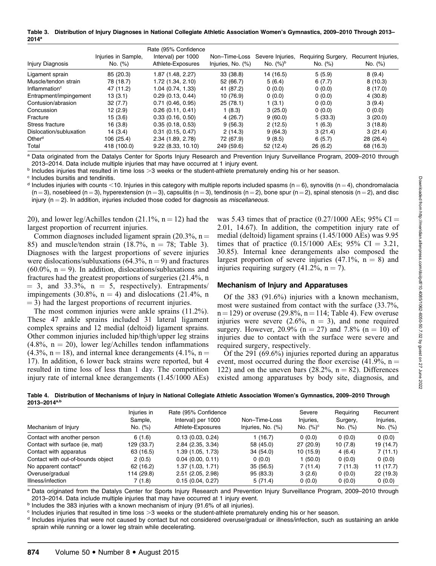Table 3. Distribution of Injury Diagnoses in National Collegiate Athletic Association Women's Gymnastics, 2009–2010 Through 2013– 2014a

|                           |                     | Rate (95% Confidence |                   |                  |                    |                     |
|---------------------------|---------------------|----------------------|-------------------|------------------|--------------------|---------------------|
|                           | Injuries in Sample, | Interval) per 1000   | Non-Time-Loss     | Severe Injuries, | Requiring Surgery, | Recurrent Injuries, |
| Injury Diagnosis          | No. (%)             | Athlete-Exposures    | Injuries, No. (%) | No. $(%)^b$      | No. (%)            | No. (%)             |
| Ligament sprain           | 85 (20.3)           | 1.87 (1.48, 2.27)    | 33(38.8)          | 14 (16.5)        | 5(5.9)             | 8(9.4)              |
| Muscle/tendon strain      | 78 (18.7)           | 1.72 (1.34, 2.10)    | 52 (66.7)         | 5(6.4)           | 6(7.7)             | 8(10.3)             |
| Inflammation <sup>c</sup> | 47 (11.2)           | 1.04(0.74, 1.33)     | 41 (87.2)         | 0(0.0)           | 0(0.0)             | 8(17.0)             |
| Entrapment/impingement    | 13(3.1)             | 0.29(0.13, 0.44)     | 10 (76.9)         | 0(0.0)           | 0(0.0)             | 4(30.8)             |
| Contusion/abrasion        | 32(7.7)             | $0.71$ (0.46, 0.95)  | 25(78.1)          | 1(3.1)           | 0(0.0)             | 3(9.4)              |
| Concussion                | 12(2.9)             | 0.26(0.11, 0.41)     | 1(8.3)            | 3(25.0)          | 0(0.0)             | 0(0.0)              |
| Fracture                  | 15(3.6)             | 0.33(0.16, 0.50)     | 4(26.7)           | 9(60.0)          | 5(33.3)            | 3(20.0)             |
| Stress fracture           | 16 (3.8)            | 0.35(0.18, 0.53)     | 9(56.3)           | 2(12.5)          | 1(6.3)             | 3(18.8)             |
| Dislocation/subluxation   | 14(3.4)             | $0.31$ (0.15, 0.47)  | 2(14.3)           | 9(64.3)          | 3(21.4)            | 3(21.4)             |
| Other <sup>d</sup>        | 106 (25.4)          | 2.34 (1.89, 2.78)    | 72 (67.9)         | 9(8.5)           | 6(5.7)             | 28 (26.4)           |
| Total                     | 418 (100.0)         | 9.22(8.33, 10.10)    | 249 (59.6)        | 52 (12.4)        | 26(6.2)            | 68 (16.3)           |

a Data originated from the Datalys Center for Sports Injury Research and Prevention Injury Surveillance Program, 2009–2010 through 2013–2014. Data include multiple injuries that may have occurred at 1 injury event.

 $b$  Includes injuries that resulted in time loss  $>3$  weeks or the student-athlete prematurely ending his or her season.

<sup>c</sup> Includes bursitis and tendinitis.

<sup>d</sup> Includes injuries with counts <10. Injuries in this category with multiple reports included spasms (n = 6), synovitis (n = 4), chondromalacia  $(n = 3)$ , nosebleed  $(n = 3)$ , hyperextension  $(n = 3)$ , capsulitis  $(n = 3)$ , tendinosis  $(n = 2)$ , bone spur  $(n = 2)$ , spinal stenosis  $(n = 2)$ , and disc injury ( $n = 2$ ). In addition, injuries included those coded for diagnosis as *miscellaneous*.

20), and lower leg/Achilles tendon (21.1%,  $n = 12$ ) had the largest proportion of recurrent injuries.

Common diagnoses included ligament sprain (20.3%,  $n =$ 85) and muscle/tendon strain  $(18.7\%), n = 78$ ; Table 3). Diagnoses with the largest proportions of severe injuries were dislocations/subluxations  $(64.3\%, n=9)$  and fractures  $(60.0\% , n = 9)$ . In addition, dislocations/subluxations and fractures had the greatest proportions of surgeries (21.4%, n  $= 3$ , and 33.3%, n  $= 5$ , respectively). Entrapments/ impingements (30.8%,  $n = 4$ ) and dislocations (21.4%, n  $=$  3) had the largest proportions of recurrent injuries.

The most common injuries were ankle sprains (11.2%). These 47 ankle sprains included 31 lateral ligament complex sprains and 12 medial (deltoid) ligament sprains. Other common injuries included hip/thigh/upper leg strains  $(4.8\%, n = 20)$ , lower leg/Achilles tendon inflammations  $(4.3\%, n = 18)$ , and internal knee derangements  $(4.1\%, n = 18)$ 17). In addition, 6 lower back strains were reported, but 4 resulted in time loss of less than 1 day. The competition injury rate of internal knee derangements (1.45/1000 AEs) was 5.43 times that of practice  $(0.27/1000 \text{ AEs}; 95\% \text{ CI} =$ 2.01, 14.67). In addition, the competition injury rate of medial (deltoid) ligament sprains (1.45/1000 AEs) was 9.95 times that of practice  $(0.15/1000 \text{ AEs}; 95\% \text{ CI} = 3.21,$ 30.85). Internal knee derangements also composed the largest proportion of severe injuries  $(47.1\%, n = 8)$  and injuries requiring surgery  $(41.2\%, n = 7)$ .

#### Mechanism of Injury and Apparatuses

Of the 383 (91.6%) injuries with a known mechanism, most were sustained from contact with the surface (33.7%,  $n = 129$ ) or overuse (29.8%,  $n = 114$ ; Table 4). Few overuse injuries were severe (2.6%,  $n = 3$ ), and none required surgery. However, 20.9% (n = 27) and 7.8% (n = 10) of injuries due to contact with the surface were severe and required surgery, respectively.

Of the 291 (69.6%) injuries reported during an apparatus event, most occurred during the floor exercise (41.9%,  $n =$ 122) and on the uneven bars  $(28.2\%, n = 82)$ . Differences existed among apparatuses by body site, diagnosis, and

Table 4. Distribution of Mechanisms of Injury in National Collegiate Athletic Association Women's Gymnastics, 2009–2010 Through 2013–2014a,b

| Mechanism of Injury               | Injuries in<br>Sample,<br>No. (%) | Rate (95% Confidence)<br>Interval) per 1000<br>Athlete-Exposures | Non-Time-Loss<br>Injuries, No. (%) | Severe<br>Injuries,<br>No. $(%)^c$ | Requiring<br>Surgery,<br>No. (%) | Recurrent<br>Injuries,<br>No. (%) |
|-----------------------------------|-----------------------------------|------------------------------------------------------------------|------------------------------------|------------------------------------|----------------------------------|-----------------------------------|
| Contact with another person       | 6(1.6)                            | 0.13(0.03, 0.24)                                                 | 1 (16.7)                           | 0(0.0)                             | 0(0.0)                           | 0(0.0)                            |
| Contact with surface (ie, mat)    | 129 (33.7)                        | $2.84$ ( $2.35, 3.34$ )                                          | 58 (45.0)                          | 27 (20.9)                          | 10(7.8)                          | 19 (14.7)                         |
| Contact with apparatus            | 63 (16.5)                         | 1.39 (1.05, 1.73)                                                | 34 (54.0)                          | 10(15.9)                           | 4(6.4)                           | 7(11.1)                           |
| Contact with out-of-bounds object | 2(0.5)                            | $0.04$ (0.00, 0.11)                                              | 0(0.0)                             | 1(50.0)                            | 0(0.0)                           | 0(0.0)                            |
| No apparent contact <sup>d</sup>  | 62 (16.2)                         | 1.37 (1.03, 1.71)                                                | 35(56.5)                           | 7(11.4)                            | 7(11.3)                          | 11(17.7)                          |
| Overuse/gradual                   | 114 (29.8)                        | $2.51$ (2.05, 2.98)                                              | 95 (83.3)                          | 3(2.6)                             | 0(0.0)                           | 22(19.3)                          |
| Illness/infection                 | 7 (1.8)                           | 0.15(0.04, 0.27)                                                 | 5(71.4)                            | 0(0.0)                             | 0(0.0)                           | 0(0.0)                            |

a Data originated from the Datalys Center for Sports Injury Research and Prevention Injury Surveillance Program, 2009–2010 through 2013–2014. Data include multiple injuries that may have occurred at 1 injury event.

**b** Includes the 383 injuries with a known mechanism of injury (91.6% of all injuries).

 $\degree$  Includes injuries that resulted in time loss  $>3$  weeks or the student-athlete prematurely ending his or her season.

<sup>d</sup> Includes injuries that were not caused by contact but not considered overuse/gradual or illness/infection, such as sustaining an ankle sprain while running or a lower leg strain while decelerating.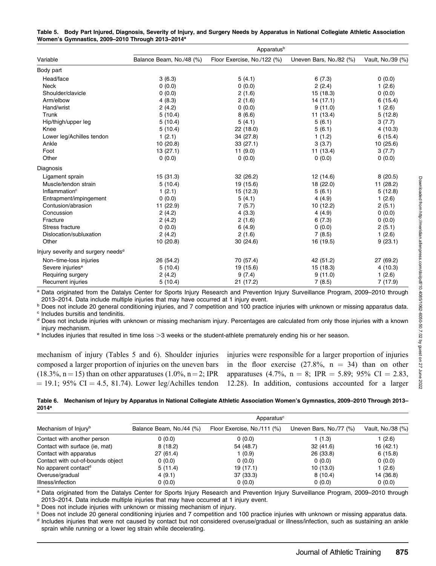| Table 5. Body Part Injured, Diagnosis, Severity of Injury, and Surgery Needs by Apparatus in National Collegiate Athletic Association |  |  |  |
|---------------------------------------------------------------------------------------------------------------------------------------|--|--|--|
| Women's Gymnastics, 2009-2010 Through 2013-2014 <sup>a</sup>                                                                          |  |  |  |

|                                                | Apparatusb               |                             |                         |                   |  |  |  |
|------------------------------------------------|--------------------------|-----------------------------|-------------------------|-------------------|--|--|--|
| Variable                                       | Balance Beam, No./48 (%) | Floor Exercise, No./122 (%) | Uneven Bars, No./82 (%) | Vault, No./39 (%) |  |  |  |
| Body part                                      |                          |                             |                         |                   |  |  |  |
| Head/face                                      | 3(6.3)                   | 5(4.1)                      | 6(7.3)                  | 0(0.0)            |  |  |  |
| <b>Neck</b>                                    | 0(0.0)                   | 0(0.0)                      | 2(2.4)                  | 1(2.6)            |  |  |  |
| Shoulder/clavicle                              | 0(0.0)                   | 2(1.6)                      | 15 (18.3)               | 0(0.0)            |  |  |  |
| Arm/elbow                                      | 4(8.3)                   | 2(1.6)                      | 14(17.1)                | 6(15.4)           |  |  |  |
| Hand/wrist                                     | 2(4.2)                   | 0(0.0)                      | 9(11.0)                 | 1(2.6)            |  |  |  |
| Trunk                                          | 5(10.4)                  | 8(6.6)                      | 11(13.4)                | 5(12.8)           |  |  |  |
| Hip/thigh/upper leg                            | 5(10.4)                  | 5(4.1)                      | 5(6.1)                  | 3(7.7)            |  |  |  |
| Knee                                           | 5(10.4)                  | 22 (18.0)                   | 5(6.1)                  | 4(10.3)           |  |  |  |
| Lower leg/Achilles tendon                      | 1(2.1)                   | 34 (27.8)                   | 1(1.2)                  | 6(15.4)           |  |  |  |
| Ankle                                          | 10(20.8)                 | 33(27.1)                    | 3(3.7)                  | 10 (25.6)         |  |  |  |
| Foot                                           | 13(27.1)                 | 11(9.0)                     | 11 (13.4)               | 3(7.7)            |  |  |  |
| Other                                          | 0(0.0)                   | 0(0.0)                      | 0(0.0)                  | 0(0.0)            |  |  |  |
| Diagnosis                                      |                          |                             |                         |                   |  |  |  |
| Ligament sprain                                | 15(31.3)                 | 32 (26.2)                   | 12(14.6)                | 8(20.5)           |  |  |  |
| Muscle/tendon strain                           | 5(10.4)                  | 19 (15.6)                   | 18 (22.0)               | 11 (28.2)         |  |  |  |
| Inflammation <sup>c</sup>                      | 1(2.1)                   | 15 (12.3)                   | 5(6.1)                  | 5(12.8)           |  |  |  |
| Entrapment/impingement                         | 0(0.0)                   | 5(4.1)                      | 4(4.9)                  | 1(2.6)            |  |  |  |
| Contusion/abrasion                             | 11 (22.9)                | 7(5.7)                      | 10(12.2)                | 2(5.1)            |  |  |  |
| Concussion                                     | 2(4.2)                   | 4(3.3)                      | 4(4.9)                  | 0(0.0)            |  |  |  |
| Fracture                                       | 2(4.2)                   | 2(1.6)                      | 6(7.3)                  | 0(0.0)            |  |  |  |
| Stress fracture                                | 0(0.0)                   | 6(4.9)                      | 0(0.0)                  | 2(5.1)            |  |  |  |
| Dislocation/subluxation                        | 2(4.2)                   | 2(1.6)                      | 7(8.5)                  | 1(2.6)            |  |  |  |
| Other                                          | 10(20.8)                 | 30(24.6)                    | 16 (19.5)               | 9(23.1)           |  |  |  |
| Injury severity and surgery needs <sup>d</sup> |                          |                             |                         |                   |  |  |  |
| Non-time-loss injuries                         | 26 (54.2)                | 70 (57.4)                   | 42 (51.2)               | 27 (69.2)         |  |  |  |
| Severe injuries <sup>e</sup>                   | 5(10.4)                  | 19 (15.6)                   | 15 (18.3)               | 4(10.3)           |  |  |  |
| Requiring surgery                              | 2(4.2)                   | 9(7.4)                      | 9(11.0)                 | 1(2.6)            |  |  |  |
| Recurrent injuries                             | 5(10.4)                  | 21 (17.2)                   | 7(8.5)                  | 7(17.9)           |  |  |  |

a Data originated from the Datalys Center for Sports Injury Research and Prevention Injury Surveillance Program, 2009–2010 through 2013–2014. Data include multiple injuries that may have occurred at 1 injury event.

**b** Does not include 20 general conditioning injuries, and 7 competition and 100 practice injuries with unknown or missing apparatus data. <sup>c</sup> Includes bursitis and tendinitis.

<sup>d</sup> Does not include injuries with unknown or missing mechanism injury. Percentages are calculated from only those injuries with a known injury mechanism.

 $e$  Includes injuries that resulted in time loss  $>3$  weeks or the student-athlete prematurely ending his or her season.

mechanism of injury (Tables 5 and 6). Shoulder injuries composed a larger proportion of injuries on the uneven bars (18.3%, n = 15) than on other apparatuses (1.0%, n = 2; IPR  $= 19.1$ ; 95% CI  $= 4.5$ , 81.74). Lower leg/Achilles tendon injuries were responsible for a larger proportion of injuries in the floor exercise  $(27.8\%, n = 34)$  than on other apparatuses (4.7%, n = 8; IPR = 5.89; 95% CI = 2.83, 12.28). In addition, contusions accounted for a larger

Table 6. Mechanism of Injury by Apparatus in National Collegiate Athletic Association Women's Gymnastics, 2009–2010 Through 2013– 2014a

|                                   | Apparatus <sup>c</sup>   |                             |                         |                   |  |  |
|-----------------------------------|--------------------------|-----------------------------|-------------------------|-------------------|--|--|
| Mechanism of Injury <sup>b</sup>  | Balance Beam, No./44 (%) | Floor Exercise, No./111 (%) | Uneven Bars, No./77 (%) | Vault, No./38 (%) |  |  |
| Contact with another person       | 0(0.0)                   | 0(0.0)                      | 1(1.3)                  | 1(2.6)            |  |  |
| Contact with surface (ie, mat)    | 8(18.2)                  | 54 (48.7)                   | 32(41.6)                | 16(42.1)          |  |  |
| Contact with apparatus            | 27(61.4)                 | 1 (0.9)                     | 26 (33.8)               | 6(15.8)           |  |  |
| Contact with out-of-bounds object | 0(0.0)                   | 0(0.0)                      | 0(0.0)                  | 0(0.0)            |  |  |
| No apparent contact <sup>d</sup>  | 5(11.4)                  | 19(17.1)                    | 10(13.0)                | 1(2.6)            |  |  |
| Overuse/gradual                   | 4(9.1)                   | 37 (33.3)                   | 8(10.4)                 | 14 (36.8)         |  |  |
| Illness/infection                 | 0(0.0)                   | 0(0.0)                      | 0(0.0)                  | 0(0.0)            |  |  |

a Data originated from the Datalys Center for Sports Injury Research and Prevention Injury Surveillance Program, 2009–2010 through 2013–2014. Data include multiple injuries that may have occurred at 1 injury event.

**b Does not include injuries with unknown or missing mechanism of injury.** 

<sup>c</sup> Does not include 20 general conditioning injuries and 7 competition and 100 practice injuries with unknown or missing apparatus data. <sup>d</sup> Includes injuries that were not caused by contact but not considered overuse/gradual or illness/infection, such as sustaining an ankle sprain while running or a lower leg strain while decelerating.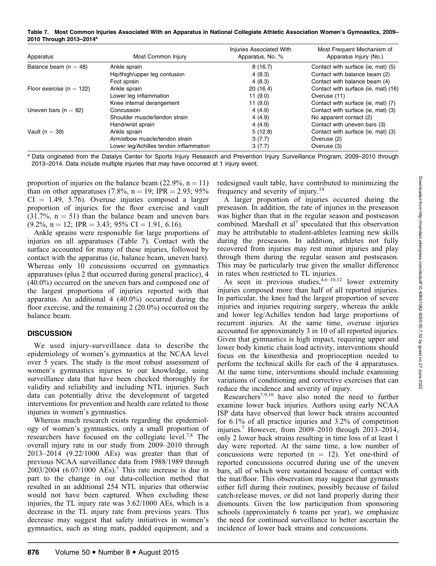Table 7. Most Common Injuries Associated With an Apparatus in National Collegiate Athletic Association Women's Gymnastics, 2009– 2010 Through 2013–2014a

| Apparatus                    | Most Common Injury                     | Injuries Associated With<br>Apparatus, No. % | Most Frequent Mechanism of<br>Apparatus Injury (No.) |
|------------------------------|----------------------------------------|----------------------------------------------|------------------------------------------------------|
| Balance beam ( $n = 48$ )    | Ankle sprain                           | 8(16.7)                                      | Contact with surface (ie, mat) (5)                   |
|                              | Hip/thigh/upper leg contusion          | 4(8.3)                                       | Contact with balance beam (2)                        |
|                              | Foot sprain                            | 4(8.3)                                       | Contact with balance beam (4)                        |
| Floor exercise ( $n = 122$ ) | Ankle sprain                           | 20(16.4)                                     | Contact with surface (ie, mat) (16)                  |
|                              | Lower leg inflammation                 | 11(9.0)                                      | Overuse (11)                                         |
|                              | Knee internal derangement              | 11(9.0)                                      | Contact with surface (ie, mat) (7)                   |
| Uneven bars ( $n = 82$ )     | Concussion                             | 4(4.9)                                       | Contact with surface (ie, mat) (3)                   |
|                              | Shoulder muscle/tendon strain          | 4(4.9)                                       | No apparent contact (2)                              |
|                              | Hand/wrist sprain                      | 4(4.9)                                       | Contact with uneven bars (3)                         |
| Vault ( $n = 39$ )           | Ankle sprain                           | 5(12.8)                                      | Contact with surface (ie, mat) (3)                   |
|                              | Arm/elbow muscle/tendon strain         | 3(7.7)                                       | Overuse (2)                                          |
|                              | Lower leg/Achilles tendon inflammation | 3(7.7)                                       | Overuse (3)                                          |

a Data originated from the Datalys Center for Sports Injury Research and Prevention Injury Surveillance Program, 2009–2010 through 2013–2014. Data include multiple injuries that may have occurred at 1 injury event.

proportion of injuries on the balance beam  $(22.9\%, n = 11)$ than on other apparatuses (7.8%,  $n = 19$ ; IPR = 2.93; 95%  $CI = 1.49, 5.76$ . Overuse injuries composed a larger proportion of injuries for the floor exercise and vault  $(31.7\%, n = 51)$  than the balance beam and uneven bars  $(9.2\%, n = 12; IPR = 3.43; 95\% \text{ CI} = 1.91, 6.16).$ 

Ankle sprains were responsible for large proportions of injuries on all apparatuses (Table 7). Contact with the surface accounted for many of these injuries, followed by contact with the apparatus (ie, balance beam, uneven bars). Whereas only 10 concussions occurred on gymnastics apparatuses (plus 2 that occurred during general practice), 4 (40.0%) occurred on the uneven bars and composed one of the largest proportions of injuries reported with that apparatus. An additional 4 (40.0%) occurred during the floor exercise, and the remaining 2 (20.0%) occurred on the balance beam.

#### **DISCUSSION**

We used injury-surveillance data to describe the epidemiology of women's gymnastics at the NCAA level over 5 years. The study is the most robust assessment of women's gymnastics injuries to our knowledge, using surveillance data that have been checked thoroughly for validity and reliability and including NTL injuries. Such data can potentially drive the development of targeted interventions for prevention and health care related to those injuries in women's gymnastics.

Whereas much research exists regarding the epidemiology of women's gymnastics, only a small proportion of researchers have focused on the collegiate level.7,8 The overall injury rate in our study from 2009–2010 through 2013–2014 (9.22/1000 AEs) was greater than that of previous NCAA surveillance data from 1988/1989 through  $2003/2004$  (6.07/1000 AEs).<sup>7</sup> This rate increase is due in part to the change in our data-collection method that resulted in an additional 254 NTL injuries that otherwise would not have been captured. When excluding these injuries, the TL injury rate was 3.62/1000 AEs, which is a decrease in the TL injury rate from previous years. This decrease may suggest that safety initiatives in women's gymnastics, such as sting mats, padded equipment, and a

redesigned vault table, have contributed to minimizing the frequency and severity of injury.14

A larger proportion of injuries occurred during the preseason. In addition, the rate of injuries in the preseason was higher than that in the regular season and postseason combined. Marshall et al<sup>7</sup> speculated that this observation may be attributable to student-athletes learning new skills during the preseason. In addition, athletes not fully recovered from injuries may rest minor injuries and play through them during the regular season and postseason. This may be particularly true given the smaller difference in rates when restricted to TL injuries.

As seen in previous studies,  $4,6-10,12$  lower extremity injuries composed more than half of all reported injuries. In particular, the knee had the largest proportion of severe injuries and injuries requiring surgery, whereas the ankle and lower leg/Achilles tendon had large proportions of recurrent injuries. At the same time, overuse injuries accounted for approximately 3 in 10 of all reported injuries. Given that gymnastics is high impact, requiring upper and lower body kinetic chain load activity, interventions should focus on the kinesthesia and proprioception needed to perform the technical skills for each of the 4 apparatuses. At the same time, interventions should include examining variations of conditioning and corrective exercises that can reduce the incidence and severity of injury.

Researchers7,9,10 have also noted the need to further examine lower back injuries. Authors using early NCAA ISP data have observed that lower back strains accounted for 6.1% of all practice injuries and 3.2% of competition injuries.7 However, from 2009–2010 through 2013–2014, only 2 lower back strains resulting in time loss of at least 1 day were reported. At the same time, a low number of concussions were reported  $(n = 12)$ . Yet one-third of reported concussions occurred during use of the uneven bars, all of which were sustained because of contact with the mat/floor. This observation may suggest that gymnasts either fell during their routines, possibly because of failed catch-release moves, or did not land properly during their dismounts. Given the low participation from sponsoring schools (approximately 6 teams per year), we emphasize the need for continued surveillance to better ascertain the incidence of lower back strains and concussions.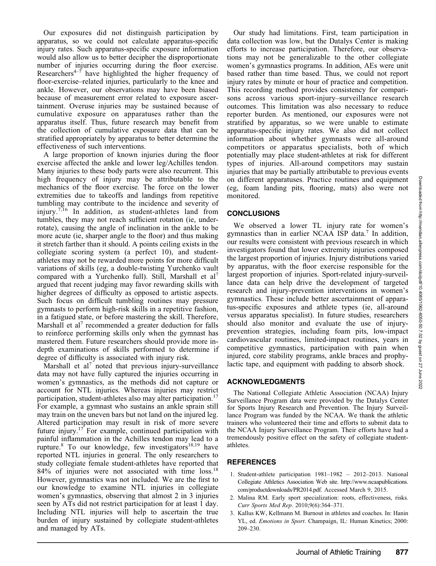Our exposures did not distinguish participation by apparatus, so we could not calculate apparatus-specific injury rates. Such apparatus-specific exposure information would also allow us to better decipher the disproportionate number of injuries occurring during the floor exercise. Researchers<sup> $4-7$ </sup> have highlighted the higher frequency of floor-exercise–related injuries, particularly to the knee and ankle. However, our observations may have been biased because of measurement error related to exposure ascertainment. Overuse injuries may be sustained because of cumulative exposure on apparatuses rather than the apparatus itself. Thus, future research may benefit from the collection of cumulative exposure data that can be stratified appropriately by apparatus to better determine the effectiveness of such interventions.

A large proportion of known injuries during the floor exercise affected the ankle and lower leg/Achilles tendon. Many injuries to these body parts were also recurrent. This high frequency of injury may be attributable to the mechanics of the floor exercise. The force on the lower extremities due to takeoffs and landings from repetitive tumbling may contribute to the incidence and severity of injury.<sup>7,16</sup> In addition, as student-athletes land from tumbles, they may not reach sufficient rotation (ie, underrotate), causing the angle of inclination in the ankle to be more acute (ie, sharper angle to the floor) and thus making it stretch farther than it should. A points ceiling exists in the collegiate scoring system (a perfect 10), and studentathletes may not be rewarded more points for more difficult variations of skills (eg, a double-twisting Yurchenko vault compared with a Yurchenko full). Still, Marshall et al<sup>7</sup> argued that recent judging may favor rewarding skills with higher degrees of difficulty as opposed to artistic aspects. Such focus on difficult tumbling routines may pressure gymnasts to perform high-risk skills in a repetitive fashion, in a fatigued state, or before mastering the skill. Therefore, Marshall et al<sup>7</sup> recommended a greater deduction for falls to reinforce performing skills only when the gymnast has mastered them. Future researchers should provide more indepth examinations of skills performed to determine if degree of difficulty is associated with injury risk.

Marshall et al<sup>7</sup> noted that previous injury-surveillance data may not have fully captured the injuries occurring in women's gymnastics, as the methods did not capture or account for NTL injuries. Whereas injuries may restrict participation, student-athletes also may alter participation.<sup>17</sup> For example, a gymnast who sustains an ankle sprain still may train on the uneven bars but not land on the injured leg. Altered participation may result in risk of more severe future injury.<sup>17</sup> For example, continued participation with painful inflammation in the Achilles tendon may lead to a rupture.<sup>8</sup> To our knowledge, few investigators<sup>18,19</sup> have reported NTL injuries in general. The only researchers to study collegiate female student-athletes have reported that 84% of injuries were not associated with time loss.18 However, gymnastics was not included. We are the first to our knowledge to examine NTL injuries in collegiate women's gymnastics, observing that almost 2 in 3 injuries seen by ATs did not restrict participation for at least 1 day. Including NTL injuries will help to ascertain the true burden of injury sustained by collegiate student-athletes and managed by ATs.

Our study had limitations. First, team participation in data collection was low, but the Datalys Center is making efforts to increase participation. Therefore, our observations may not be generalizable to the other collegiate women's gymnastics programs. In addition, AEs were unit based rather than time based. Thus, we could not report injury rates by minute or hour of practice and competition. This recording method provides consistency for comparisons across various sport-injury–surveillance research outcomes. This limitation was also necessary to reduce reporter burden. As mentioned, our exposures were not stratified by apparatus, so we were unable to estimate apparatus-specific injury rates. We also did not collect information about whether gymnasts were all-around competitors or apparatus specialists, both of which potentially may place student-athletes at risk for different types of injuries. All-around competitors may sustain injuries that may be partially attributable to previous events on different apparatuses. Practice routines and equipment (eg, foam landing pits, flooring, mats) also were not monitored.

# **CONCLUSIONS**

We observed a lower TL injury rate for women's gymnastics than in earlier NCAA ISP data.7 In addition, our results were consistent with previous research in which investigators found that lower extremity injuries composed the largest proportion of injuries. Injury distributions varied by apparatus, with the floor exercise responsible for the largest proportion of injuries. Sport-related injury-surveillance data can help drive the development of targeted research and injury-prevention interventions in women's gymnastics. These include better ascertainment of apparatus-specific exposures and athlete types (ie, all-around versus apparatus specialist). In future studies, researchers should also monitor and evaluate the use of injuryprevention strategies, including foam pits, low-impact cardiovascular routines, limited-impact routines, years in competitive gymnastics, participation with pain when injured, core stability programs, ankle braces and prophylactic tape, and equipment with padding to absorb shock.

# ACKNOWLEDGMENTS

The National Collegiate Athletic Association (NCAA) Injury Surveillance Program data were provided by the Datalys Center for Sports Injury Research and Prevention. The Injury Surveillance Program was funded by the NCAA. We thank the athletic trainers who volunteered their time and efforts to submit data to the NCAA Injury Surveillance Program. Their efforts have had a tremendously positive effect on the safety of collegiate studentathletes.

# **REFERENCES**

- 1. Student-athlete participation 1981–1982 2012–2013. National Collegiate Athletics Association Web site. http://www.ncaapublications. com/productdownloads/PR2014.pdf. Accessed March 9, 2015.
- 2. Malina RM. Early sport specialization: roots, effectiveness, risks. Curr Sports Med Rep. 2010;9(6):364–371.
- 3. Kallus KW, Kellmann M. Burnout in athletes and coaches. In: Hanin YL, ed. Emotions in Sport. Champaign, IL: Human Kinetics; 2000: 209–230.